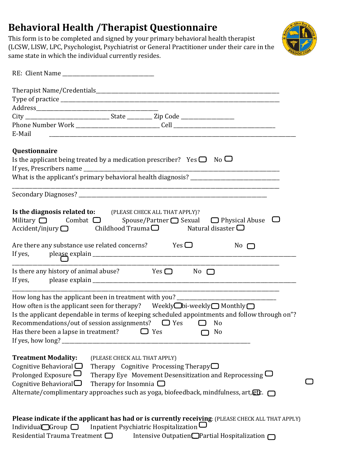## **Behavioral Health /Therapist Questionnaire**

This form is to be completed and signed by your primary behavioral health therapist (LCSW, LISW, LPC, Psychologist, Psychiatrist or General Practitioner under their care in the same state in which the individual currently resides.